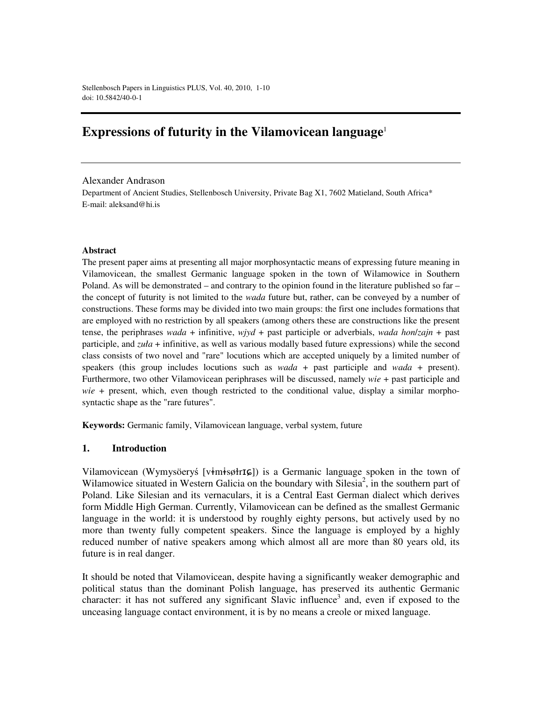# **Expressions of futurity in the Vilamovicean language** 1

Alexander Andrason

Department of Ancient Studies, Stellenbosch University, Private Bag X1, 7602 Matieland, South Africa\* E-mail: aleksand@hi.is

#### **Abstract**

The present paper aims at presenting all major morphosyntactic means of expressing future meaning in Vilamovicean, the smallest Germanic language spoken in the town of Wilamowice in Southern Poland. As will be demonstrated – and contrary to the opinion found in the literature published so far – the concept of futurity is not limited to the *wada* future but, rather, can be conveyed by a number of constructions. These forms may be divided into two main groups: the first one includes formations that are employed with no restriction by all speakers (among others these are constructions like the present tense, the periphrases *wada* + infinitive, *wjyd* + past participle or adverbials, *wada hon*/*zajn* + past participle, and *zuła* + infinitive, as well as various modally based future expressions) while the second class consists of two novel and "rare" locutions which are accepted uniquely by a limited number of speakers (this group includes locutions such as *wada* + past participle and *wada* + present). Furthermore, two other Vilamovicean periphrases will be discussed, namely *wie* + past participle and *wie* + present, which, even though restricted to the conditional value, display a similar morphosyntactic shape as the "rare futures".

**Keywords:** Germanic family, Vilamovicean language, verbal system, future

## **1. Introduction**

Vilamovicean (Wymysöeryś [vimisøtrIG]) is a Germanic language spoken in the town of Wilamowice situated in Western Galicia on the boundary with Silesia<sup>2</sup>, in the southern part of Poland. Like Silesian and its vernaculars, it is a Central East German dialect which derives form Middle High German. Currently, Vilamovicean can be defined as the smallest Germanic language in the world: it is understood by roughly eighty persons, but actively used by no more than twenty fully competent speakers. Since the language is employed by a highly reduced number of native speakers among which almost all are more than 80 years old, its future is in real danger.

It should be noted that Vilamovicean, despite having a significantly weaker demographic and political status than the dominant Polish language, has preserved its authentic Germanic character: it has not suffered any significant Slavic influence<sup>3</sup> and, even if exposed to the unceasing language contact environment, it is by no means a creole or mixed language.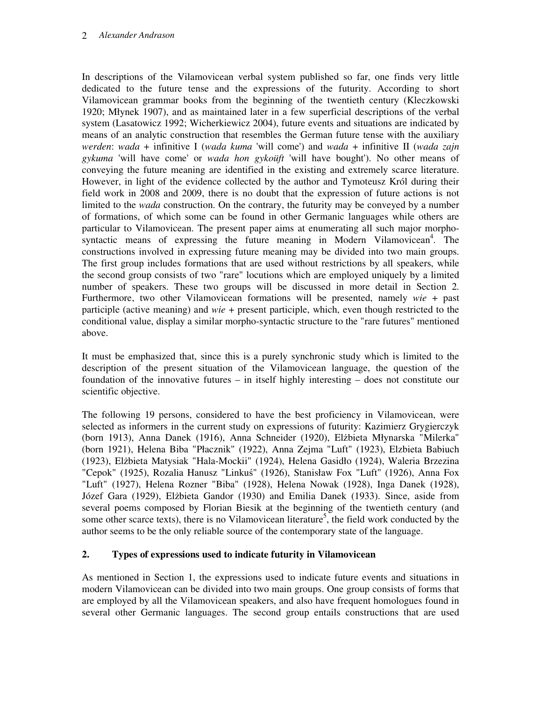In descriptions of the Vilamovicean verbal system published so far, one finds very little dedicated to the future tense and the expressions of the futurity. According to short Vilamovicean grammar books from the beginning of the twentieth century (Kleczkowski 1920; Młynek 1907), and as maintained later in a few superficial descriptions of the verbal system (Lasatowicz 1992; Wicherkiewicz 2004), future events and situations are indicated by means of an analytic construction that resembles the German future tense with the auxiliary *werden*: *wada* + infinitive I (*wada kuma* 'will come') and *wada* + infinitive II (*wada zajn gykuma* 'will have come' or *wada hon gykoüft* 'will have bought'). No other means of conveying the future meaning are identified in the existing and extremely scarce literature. However, in light of the evidence collected by the author and Tymoteusz Król during their field work in 2008 and 2009, there is no doubt that the expression of future actions is not limited to the *wada* construction. On the contrary, the futurity may be conveyed by a number of formations, of which some can be found in other Germanic languages while others are particular to Vilamovicean. The present paper aims at enumerating all such major morphosyntactic means of expressing the future meaning in Modern Vilamovicean<sup>4</sup>. The constructions involved in expressing future meaning may be divided into two main groups. The first group includes formations that are used without restrictions by all speakers, while the second group consists of two "rare" locutions which are employed uniquely by a limited number of speakers. These two groups will be discussed in more detail in Section 2. Furthermore, two other Vilamovicean formations will be presented, namely *wie* + past participle (active meaning) and *wie* + present participle, which, even though restricted to the conditional value, display a similar morpho-syntactic structure to the "rare futures" mentioned above.

It must be emphasized that, since this is a purely synchronic study which is limited to the description of the present situation of the Vilamovicean language, the question of the foundation of the innovative futures – in itself highly interesting – does not constitute our scientific objective.

The following 19 persons, considered to have the best proficiency in Vilamovicean, were selected as informers in the current study on expressions of futurity: Kazimierz Grygierczyk (born 1913), Anna Danek (1916), Anna Schneider (1920), Elżbieta Młynarska "Milerka" (born 1921), Helena Biba "Płacznik" (1922), Anna Zejma "Luft" (1923), Elzbieta Babiuch (1923), Elżbieta Matysiak "Hala-Mockii" (1924), Helena Gasidło (1924), Waleria Brzezina "Cepok" (1925), Rozalia Hanusz "Linkuś" (1926), Stanisław Fox "Luft" (1926), Anna Fox "Luft" (1927), Helena Rozner "Biba" (1928), Helena Nowak (1928), Inga Danek (1928), Józef Gara (1929), Elżbieta Gandor (1930) and Emilia Danek (1933). Since, aside from several poems composed by Florian Biesik at the beginning of the twentieth century (and some other scarce texts), there is no Vilamovicean literature<sup>5</sup>, the field work conducted by the author seems to be the only reliable source of the contemporary state of the language.

# **2. Types of expressions used to indicate futurity in Vilamovicean**

As mentioned in Section 1, the expressions used to indicate future events and situations in modern Vilamovicean can be divided into two main groups. One group consists of forms that are employed by all the Vilamovicean speakers, and also have frequent homologues found in several other Germanic languages. The second group entails constructions that are used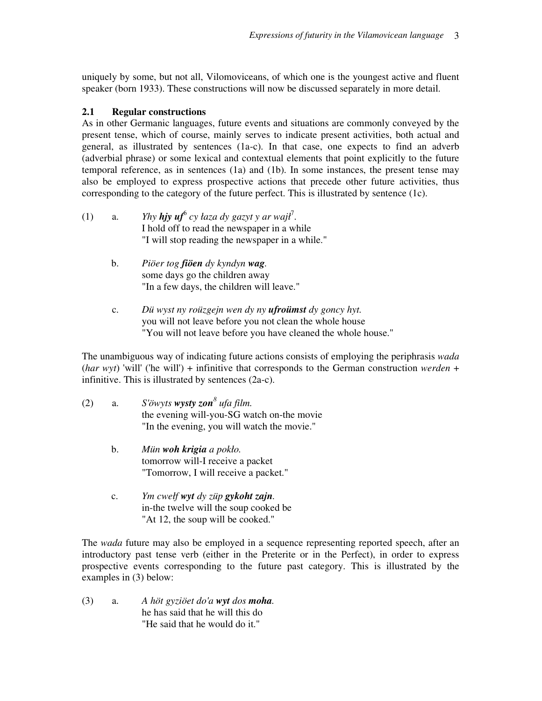uniquely by some, but not all, Vilomoviceans, of which one is the youngest active and fluent speaker (born 1933). These constructions will now be discussed separately in more detail.

# **2.1 Regular constructions**

As in other Germanic languages, future events and situations are commonly conveyed by the present tense, which of course, mainly serves to indicate present activities, both actual and general, as illustrated by sentences (1a-c). In that case, one expects to find an adverb (adverbial phrase) or some lexical and contextual elements that point explicitly to the future temporal reference, as in sentences (1a) and (1b). In some instances, the present tense may also be employed to express prospective actions that precede other future activities, thus corresponding to the category of the future perfect. This is illustrated by sentence (1c).

- (1) a. *Yhy hjy uf*<sup>6</sup> cy łaza dy gazyt y ar wajł<sup>7</sup>. I hold off to read the newspaper in a while "I will stop reading the newspaper in a while."
	- b. *Piöer tog fiöen dy kyndyn wag.* some days go the children away "In a few days, the children will leave."
	- c. *Dü wyst ny roüzgejn wen dy ny ufroümst dy goncy hyt.* you will not leave before you not clean the whole house "You will not leave before you have cleaned the whole house."

The unambiguous way of indicating future actions consists of employing the periphrasis *wada*  (*har wyt*) 'will' ('he will') + infinitive that corresponds to the German construction *werden* + infinitive. This is illustrated by sentences (2a-c).

- (2) a. *S'öwyts wysty zon<sup>8</sup> ufa film.* the evening will-you-SG watch on-the movie "In the evening, you will watch the movie."
	- b. *Mün woh krigia a pokło.* tomorrow will-I receive a packet "Tomorrow, I will receive a packet."
	- c. *Ym cwełf wyt dy züp gykoht zajn.* in-the twelve will the soup cooked be "At 12, the soup will be cooked."

The *wada* future may also be employed in a sequence representing reported speech, after an introductory past tense verb (either in the Preterite or in the Perfect), in order to express prospective events corresponding to the future past category. This is illustrated by the examples in (3) below:

(3) a. *A höt gyziöet do'a wyt dos moha.* he has said that he will this do "He said that he would do it."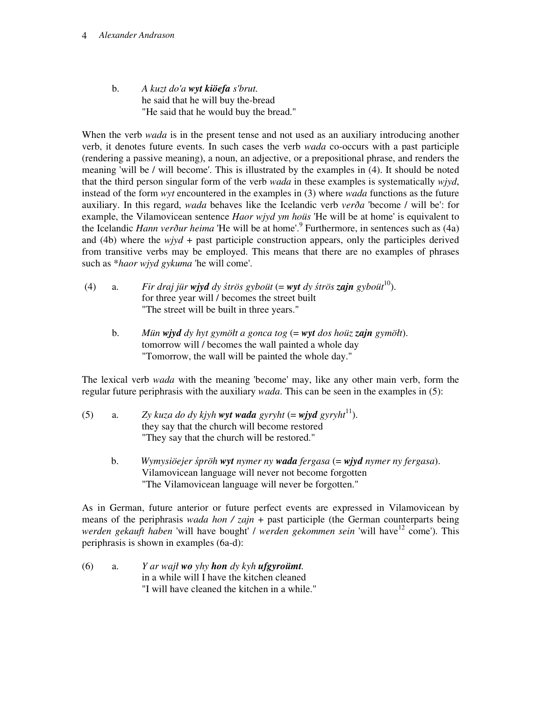#### 4 *Alexander Andrason*

 b. *A kuzt do'a wyt kiöefa s'brut.* he said that he will buy the-bread "He said that he would buy the bread."

When the verb *wada* is in the present tense and not used as an auxiliary introducing another verb, it denotes future events. In such cases the verb *wada* co-occurs with a past participle (rendering a passive meaning), a noun, an adjective, or a prepositional phrase, and renders the meaning 'will be / will become'. This is illustrated by the examples in (4). It should be noted that the third person singular form of the verb *wada* in these examples is systematically *wjyd*, instead of the form *wyt* encountered in the examples in (3) where *wada* functions as the future auxiliary. In this regard, *wada* behaves like the Icelandic verb *verða* 'become / will be': for example, the Vilamovicean sentence *Haor wjyd ym hoüs* 'He will be at home' is equivalent to the Icelandic *Hann verður heima* 'He will be at home'.<sup>9</sup> Furthermore, in sentences such as (4a) and (4b) where the  $w\dot{y}d +$  past participle construction appears, only the participles derived from transitive verbs may be employed. This means that there are no examples of phrases such as \**haor wjyd gykuma* 'he will come'.

- (4) a. *Fir draj jür wjyd dy* ś*trös gyboüt* (= *wyt dy* ś*trös zajn gyboüt*<sup>10</sup>). for three year will / becomes the street built "The street will be built in three years."
	- b. *Mün wjyd dy hyt gymöłt a gonca tog* (= *wyt dos hoüz zajn gymöłt*). tomorrow will / becomes the wall painted a whole day "Tomorrow, the wall will be painted the whole day."

The lexical verb *wada* with the meaning 'become' may, like any other main verb, form the regular future periphrasis with the auxiliary *wada*. This can be seen in the examples in (5):

- (5) a. *Zy kuza do dy kjyh wyt wada gyryht* (= *wjyd* gyryht<sup>11</sup>). they say that the church will become restored "They say that the church will be restored."
	- b. *Wymysiöejer* ś*pröh wyt nymer ny wada fergasa* (= *wjyd nymer ny fergasa*). Vilamovicean language will never not become forgotten "The Vilamovicean language will never be forgotten."

As in German, future anterior or future perfect events are expressed in Vilamovicean by means of the periphrasis *wada hon / zajn* + past participle (the German counterparts being *werden gekauft haben* 'will have bought' / werden gekommen sein 'will have<sup>12</sup> come'). This periphrasis is shown in examples (6a-d):

(6) a. *Y ar wajł wo yhy hon dy kyh ufgyroümt.* in a while will I have the kitchen cleaned "I will have cleaned the kitchen in a while."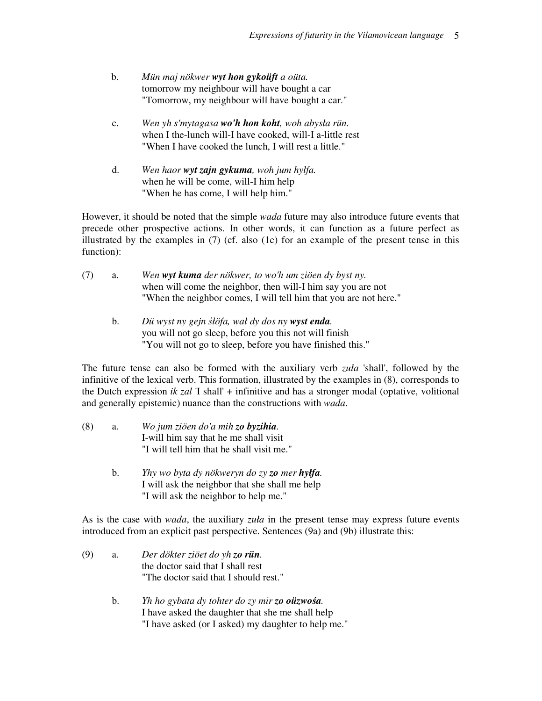- b. *Mün maj nökwer wyt hon gykoüft a oüta.* tomorrow my neighbour will have bought a car "Tomorrow, my neighbour will have bought a car."
- c. *Wen yh s'mytagasa wo'h hon koht, woh abysła rün.* when I the-lunch will-I have cooked, will-I a-little rest "When I have cooked the lunch, I will rest a little."
- d. *Wen haor wyt zajn gykuma, woh jum hyłfa.* when he will be come, will-I him help "When he has come, I will help him."

However, it should be noted that the simple *wada* future may also introduce future events that precede other prospective actions. In other words, it can function as a future perfect as illustrated by the examples in  $(7)$  (cf. also  $(1c)$  for an example of the present tense in this function):

| (7) | а. | Wen wyt kuma der nökwer, to wo'h um ziöen dy byst ny.             |
|-----|----|-------------------------------------------------------------------|
|     |    | when will come the neighbor, then will-I him say you are not      |
|     |    | "When the neighbor comes, I will tell him that you are not here." |

 b. *Dü wyst ny gejn* ś*łöfa, wał dy dos ny wyst enda.*  you will not go sleep, before you this not will finish "You will not go to sleep, before you have finished this."

The future tense can also be formed with the auxiliary verb *zuła* 'shall', followed by the infinitive of the lexical verb. This formation, illustrated by the examples in (8), corresponds to the Dutch expression *ik zal* 'I shall' + infinitive and has a stronger modal (optative, volitional and generally epistemic) nuance than the constructions with *wada*.

- (8) a. *Wo jum ziöen do'a mih zo byzihia.* I-will him say that he me shall visit "I will tell him that he shall visit me."
	- b. *Yhy wo byta dy nökweryn do zy zo mer hyłfa.* I will ask the neighbor that she shall me help "I will ask the neighbor to help me."

As is the case with *wada*, the auxiliary *zuła* in the present tense may express future events introduced from an explicit past perspective. Sentences (9a) and (9b) illustrate this:

- (9) a. *Der dökter ziöet do yh zo rün.*  the doctor said that I shall rest "The doctor said that I should rest."
	- b. *Yh ho gybata dy tohter do zy mir zo oüzwo*ś*a.* I have asked the daughter that she me shall help "I have asked (or I asked) my daughter to help me."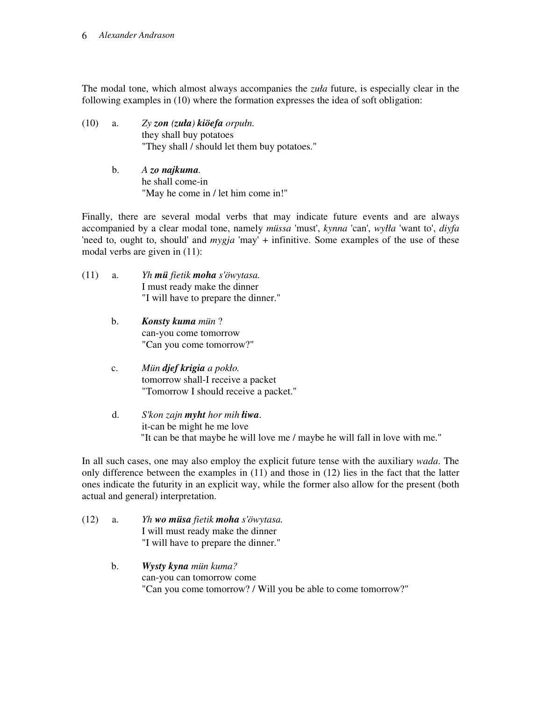#### 6 *Alexander Andrason*

The modal tone, which almost always accompanies the *zuła* future, is especially clear in the following examples in (10) where the formation expresses the idea of soft obligation:

- (10) a. *Zy zon (zuła) kiöefa orpułn.* they shall buy potatoes "They shall / should let them buy potatoes."
	- b. *A zo najkuma.* he shall come-in "May he come in / let him come in!"

Finally, there are several modal verbs that may indicate future events and are always accompanied by a clear modal tone, namely *müssa* 'must', *kynna* 'can', *wyłła* 'want to', *diyfa*  'need to, ought to, should' and *mygja* 'may' + infinitive. Some examples of the use of these modal verbs are given in (11):

- (11) a. *Yh mü fietik moha s'öwytasa.*  I must ready make the dinner "I will have to prepare the dinner."
	- b. *Konsty kuma mün* ? can-you come tomorrow "Can you come tomorrow?"
	- c. *Mün djef krigia a pokło.* tomorrow shall-I receive a packet "Tomorrow I should receive a packet."
	- d. *S'kon zajn myht hor mih łiwa*. it-can be might he me love "It can be that maybe he will love me / maybe he will fall in love with me."

In all such cases, one may also employ the explicit future tense with the auxiliary *wada*. The only difference between the examples in (11) and those in (12) lies in the fact that the latter ones indicate the futurity in an explicit way, while the former also allow for the present (both actual and general) interpretation.

- (12) a. *Yh wo müsa fietik moha s'öwytasa.* I will must ready make the dinner "I will have to prepare the dinner."
	- b. *Wysty kyna mün kuma?* can-you can tomorrow come "Can you come tomorrow? / Will you be able to come tomorrow?"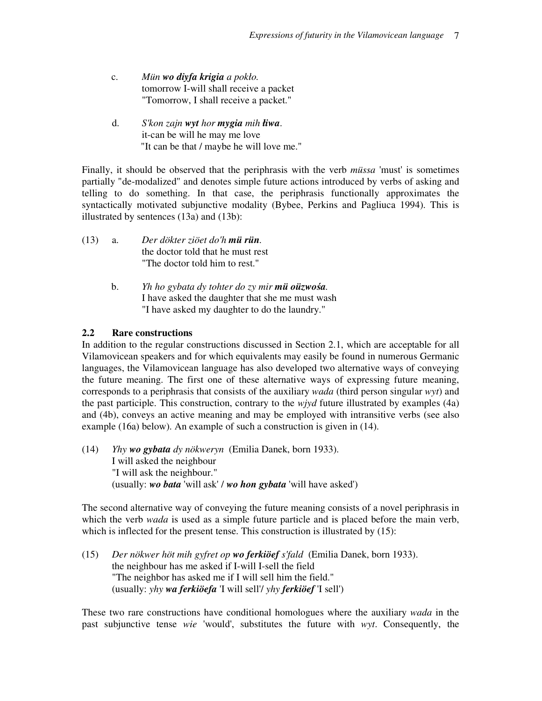- c. *Mün wo diyfa krigia a pokło.* tomorrow I-will shall receive a packet "Tomorrow, I shall receive a packet."
- d. *S'kon zajn wyt hor mygia mih łiwa*. it-can be will he may me love "It can be that / maybe he will love me."

Finally, it should be observed that the periphrasis with the verb *müssa* 'must' is sometimes partially "de-modalized" and denotes simple future actions introduced by verbs of asking and telling to do something. In that case, the periphrasis functionally approximates the syntactically motivated subjunctive modality (Bybee, Perkins and Pagliuca 1994). This is illustrated by sentences (13a) and (13b):

- (13) a. *Der dökter ziöet do'h mü rün.* the doctor told that he must rest "The doctor told him to rest."
	- b. *Yh ho gybata dy tohter do zy mir mü oüzwo*ś*a.* I have asked the daughter that she me must wash "I have asked my daughter to do the laundry."

# **2.2 Rare constructions**

In addition to the regular constructions discussed in Section 2.1, which are acceptable for all Vilamovicean speakers and for which equivalents may easily be found in numerous Germanic languages, the Vilamovicean language has also developed two alternative ways of conveying the future meaning. The first one of these alternative ways of expressing future meaning, corresponds to a periphrasis that consists of the auxiliary *wada* (third person singular *wyt*) and the past participle. This construction, contrary to the *wjyd* future illustrated by examples (4a) and (4b), conveys an active meaning and may be employed with intransitive verbs (see also example (16a) below). An example of such a construction is given in (14).

(14) *Yhy wo gybata dy nökweryn* (Emilia Danek, born 1933). I will asked the neighbour "I will ask the neighbour." (usually: *wo bata* 'will ask' / *wo hon gybata* 'will have asked')

The second alternative way of conveying the future meaning consists of a novel periphrasis in which the verb *wada* is used as a simple future particle and is placed before the main verb, which is inflected for the present tense. This construction is illustrated by (15):

(15) *Der nökwer höt mih gyfret op wo ferkiöef s'fald* (Emilia Danek, born 1933). the neighbour has me asked if I-will I-sell the field "The neighbor has asked me if I will sell him the field." (usually: *yhy wa ferkiöefa* 'I will sell'/ *yhy ferkiöef* 'I sell')

These two rare constructions have conditional homologues where the auxiliary *wada* in the past subjunctive tense *wie* 'would', substitutes the future with *wyt*. Consequently, the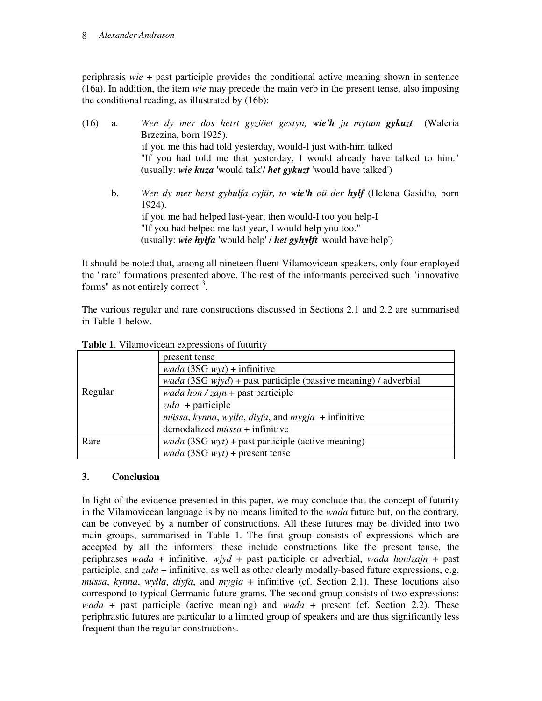## 8 *Alexander Andrason*

periphrasis *wie* + past participle provides the conditional active meaning shown in sentence (16a). In addition, the item *wie* may precede the main verb in the present tense, also imposing the conditional reading, as illustrated by (16b):

| (16) | a. | Wen dy mer dos hetst gyziöet gestyn, wie'h ju mytum gykuzt (Waleria        |
|------|----|----------------------------------------------------------------------------|
|      |    | Brzezina, born 1925).                                                      |
|      |    | if you me this had told yesterday, would-I just with-him talked            |
|      |    | "If you had told me that yesterday, I would already have talked to him."   |
|      |    | (usually: wie kuza 'would talk'/ het gykuzt 'would have talked')           |
|      | b. | Wen dy mer hetst gyhulfa cyjür, to wie'h oü der hylf (Helena Gasidio, born |
|      |    | 1924).                                                                     |
|      |    | if you me had helped last-year, then would-I too you help-I                |
|      |    | "If you had helped me last year, I would help you too."                    |
|      |    | (usually: wie hylfa 'would help' / het gyhylft 'would have help')          |

It should be noted that, among all nineteen fluent Vilamovicean speakers, only four employed the "rare" formations presented above. The rest of the informants perceived such "innovative forms" as not entirely correct<sup>13</sup>.

The various regular and rare constructions discussed in Sections 2.1 and 2.2 are summarised in Table 1 below.

|         | present tense                                                                  |
|---------|--------------------------------------------------------------------------------|
|         | <i>wada</i> $(3SG wyt) +$ infinitive                                           |
|         | <i>wada</i> (3SG <i>wjyd</i> ) + past participle (passive meaning) / adverbial |
| Regular | <i>wada hon / zajn</i> + past participle                                       |
|         | zuła + participle                                                              |
|         | müssa, kynna, wyłła, diyfa, and mygja + infinitive                             |
|         | demodalized $müssa +$ infinitive                                               |
| Rare    | <i>wada</i> (3SG <i>wyt</i> ) + past participle (active meaning)               |
|         | <i>wada</i> (3SG <i>wyt</i> ) + present tense                                  |

**Table 1**. Vilamovicean expressions of futurity

## **3. Conclusion**

In light of the evidence presented in this paper, we may conclude that the concept of futurity in the Vilamovicean language is by no means limited to the *wada* future but, on the contrary, can be conveyed by a number of constructions. All these futures may be divided into two main groups, summarised in Table 1. The first group consists of expressions which are accepted by all the informers: these include constructions like the present tense, the periphrases *wada* + infinitive, *wjyd* + past participle or adverbial, *wada hon*/*zajn* + past participle, and *zuła* + infinitive, as well as other clearly modally-based future expressions, e.g. *müssa*, *kynna*, *wyłła*, *diyfa*, and *mygia* + infinitive (cf. Section 2.1). These locutions also correspond to typical Germanic future grams. The second group consists of two expressions: *wada* + past participle (active meaning) and *wada* + present (cf. Section 2.2). These periphrastic futures are particular to a limited group of speakers and are thus significantly less frequent than the regular constructions.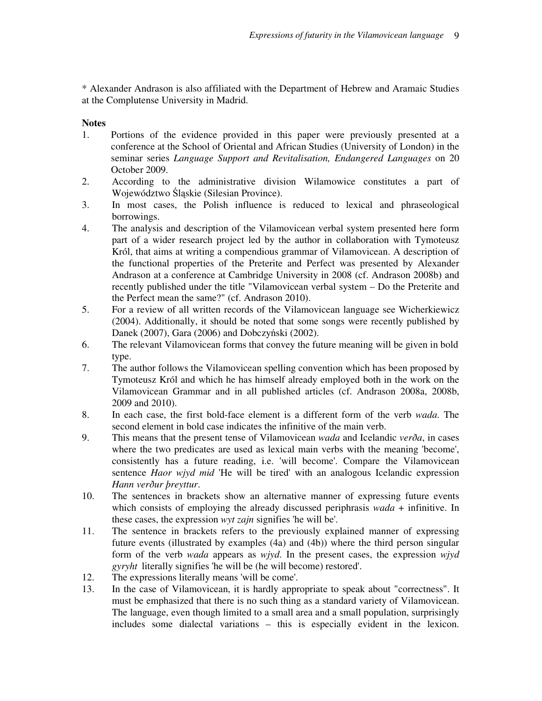\* Alexander Andrason is also affiliated with the Department of Hebrew and Aramaic Studies at the Complutense University in Madrid.

# **Notes**

- 1. Portions of the evidence provided in this paper were previously presented at a conference at the School of Oriental and African Studies (University of London) in the seminar series *Language Support and Revitalisation, Endangered Languages* on 20 October 2009.
- 2. According to the administrative division Wilamowice constitutes a part of Województwo Śląskie (Silesian Province).
- 3. In most cases, the Polish influence is reduced to lexical and phraseological borrowings.
- 4. The analysis and description of the Vilamovicean verbal system presented here form part of a wider research project led by the author in collaboration with Tymoteusz Król, that aims at writing a compendious grammar of Vilamovicean. A description of the functional properties of the Preterite and Perfect was presented by Alexander Andrason at a conference at Cambridge University in 2008 (cf. Andrason 2008b) and recently published under the title "Vilamovicean verbal system – Do the Preterite and the Perfect mean the same?" (cf. Andrason 2010).
- 5. For a review of all written records of the Vilamovicean language see Wicherkiewicz (2004). Additionally, it should be noted that some songs were recently published by Danek (2007), Gara (2006) and Dobczyński (2002).
- 6. The relevant Vilamovicean forms that convey the future meaning will be given in bold type.
- 7. The author follows the Vilamovicean spelling convention which has been proposed by Tymoteusz Król and which he has himself already employed both in the work on the Vilamovicean Grammar and in all published articles (cf. Andrason 2008a, 2008b, 2009 and 2010).
- 8. In each case, the first bold-face element is a different form of the verb *wada*. The second element in bold case indicates the infinitive of the main verb.
- 9. This means that the present tense of Vilamovicean *wada* and Icelandic *verða*, in cases where the two predicates are used as lexical main verbs with the meaning 'become', consistently has a future reading, i.e. 'will become'. Compare the Vilamovicean sentence *Haor wjyd mid* 'He will be tired' with an analogous Icelandic expression *Hann verður þreyttur*.
- 10. The sentences in brackets show an alternative manner of expressing future events which consists of employing the already discussed periphrasis *wada* + infinitive. In these cases, the expression *wyt zajn* signifies 'he will be'.
- 11. The sentence in brackets refers to the previously explained manner of expressing future events (illustrated by examples (4a) and (4b)) where the third person singular form of the verb *wada* appears as *wjyd*. In the present cases, the expression *wjyd gyryht* literally signifies 'he will be (he will become) restored'.
- 12. The expressions literally means 'will be come'.
- 13. In the case of Vilamovicean, it is hardly appropriate to speak about "correctness". It must be emphasized that there is no such thing as a standard variety of Vilamovicean. The language, even though limited to a small area and a small population, surprisingly includes some dialectal variations – this is especially evident in the lexicon.